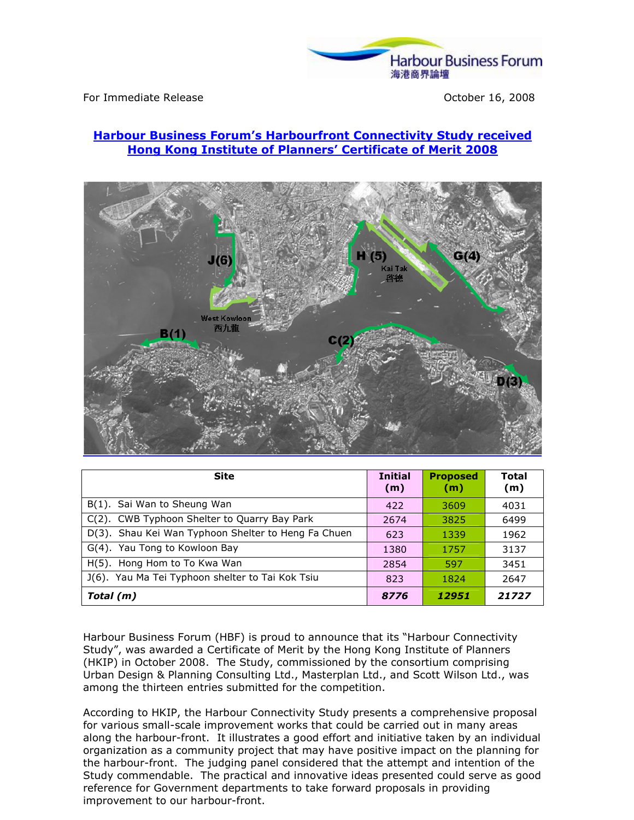

For Immediate Release **For Immediate Release** Controller Service Controller Service Controller October 16, 2008

## Harbour Business Forum's Harbourfront Connectivity Study received Hong Kong Institute of Planners' Certificate of Merit 2008



| <b>Site</b>                                         | <b>Initial</b><br>(m) | <b>Proposed</b><br>(m) | Total<br>(m) |
|-----------------------------------------------------|-----------------------|------------------------|--------------|
| B(1). Sai Wan to Sheung Wan                         | 422                   | 3609                   | 4031         |
| C(2). CWB Typhoon Shelter to Quarry Bay Park        | 2674                  | 3825                   | 6499         |
| D(3). Shau Kei Wan Typhoon Shelter to Heng Fa Chuen | 623                   | 1339                   | 1962         |
| G(4). Yau Tong to Kowloon Bay                       | 1380                  | 1757                   | 3137         |
| H(5). Hong Hom to To Kwa Wan                        | 2854                  | 597                    | 3451         |
| J(6). Yau Ma Tei Typhoon shelter to Tai Kok Tsiu    | 823                   | 1824                   | 2647         |
| Total (m)                                           | 8776                  | 12951                  | 21727        |

Harbour Business Forum (HBF) is proud to announce that its "Harbour Connectivity Study", was awarded a Certificate of Merit by the Hong Kong Institute of Planners (HKIP) in October 2008. The Study, commissioned by the consortium comprising Urban Design & Planning Consulting Ltd., Masterplan Ltd., and Scott Wilson Ltd., was among the thirteen entries submitted for the competition.

According to HKIP, the Harbour Connectivity Study presents a comprehensive proposal for various small-scale improvement works that could be carried out in many areas along the harbour-front. It illustrates a good effort and initiative taken by an individual organization as a community project that may have positive impact on the planning for the harbour-front. The judging panel considered that the attempt and intention of the Study commendable. The practical and innovative ideas presented could serve as good reference for Government departments to take forward proposals in providing improvement to our harbour-front.